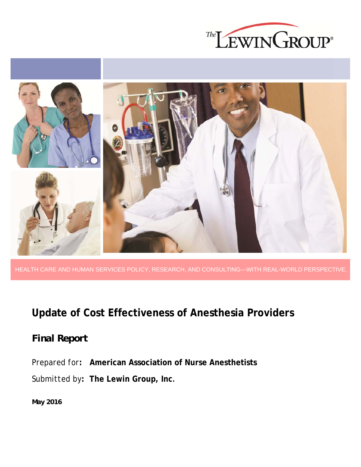



HEALTH CARE AND HUMAN SERVICES POLICY, RESEARCH, AND CONSULTING—WITH REAL-WORLD PERSPECTIVE.

## **Update of Cost Effectiveness of Anesthesia Providers**

## *Final Report*

*Prepared for***: American Association of Nurse Anesthetists**

*Submitted by***: The Lewin Group, Inc.**

*May 2016*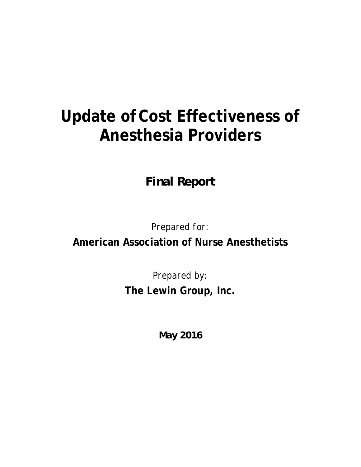# **Update ofCost Effectiveness of Anesthesia Providers**

*Final Report* 

*Prepared for:* 

**American Association of Nurse Anesthetists** 

*Prepared by:*  **The Lewin Group, Inc.** 

*May 2016*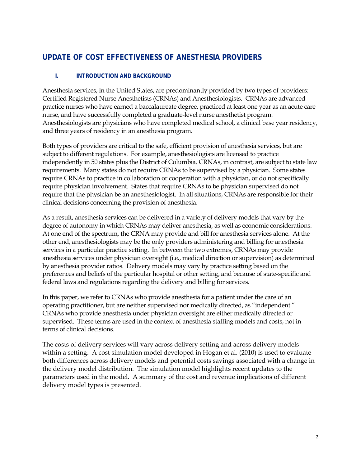### **UPDATE OF COST EFFECTIVENESS OF ANESTHESIA PROVIDERS**

#### **I. INTRODUCTION AND BACKGROUND**

Anesthesia services, in the United States, are predominantly provided by two types of providers: Certified Registered Nurse Anesthetists (CRNAs) and Anesthesiologists. CRNAs are advanced practice nurses who have earned a baccalaureate degree, practiced at least one year as an acute care nurse, and have successfully completed a graduate-level nurse anesthetist program. Anesthesiologists are physicians who have completed medical school, a clinical base year residency, and three years of residency in an anesthesia program.

Both types of providers are critical to the safe, efficient provision of anesthesia services, but are subject to different regulations. For example, anesthesiologists are licensed to practice independently in 50 states plus the District of Columbia. CRNAs, in contrast, are subject to state law requirements. Many states do not require CRNAs to be supervised by a physician. Some states require CRNAs to practice in collaboration or cooperation with a physician, or do not specifically require physician involvement. States that require CRNAs to be physician supervised do not require that the physician be an anesthesiologist. In all situations, CRNAs are responsible for their clinical decisions concerning the provision of anesthesia.

As a result, anesthesia services can be delivered in a variety of delivery models that vary by the degree of autonomy in which CRNAs may deliver anesthesia, as well as economic considerations. At one end of the spectrum, the CRNA may provide and bill for anesthesia services alone. At the other end, anesthesiologists may be the only providers administering and billing for anesthesia services in a particular practice setting. In between the two extremes, CRNAs may provide anesthesia services under physician oversight (i.e., medical direction or supervision) as determined by anesthesia provider ratios. Delivery models may vary by practice setting based on the preferences and beliefs of the particular hospital or other setting, and because of state-specific and federal laws and regulations regarding the delivery and billing for services.

In this paper, we refer to CRNAs who provide anesthesia for a patient under the care of an operating practitioner, but are neither supervised nor medically directed, as "independent." CRNAs who provide anesthesia under physician oversight are either medically directed or supervised. These terms are used in the context of anesthesia staffing models and costs, not in terms of clinical decisions.

The costs of delivery services will vary across delivery setting and across delivery models within a setting. A cost simulation model developed in Hogan et al. (2010) is used to evaluate both differences across delivery models and potential costs savings associated with a change in the delivery model distribution. The simulation model highlights recent updates to the parameters used in the model. A summary of the cost and revenue implications of different delivery model types is presented.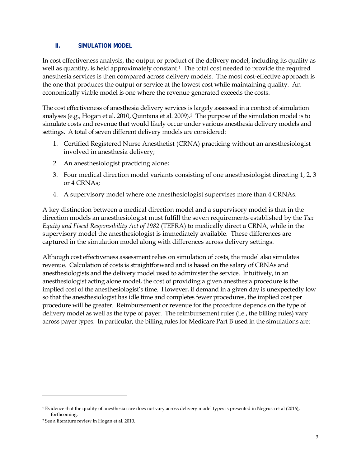#### **II. SIMULATION MODEL**

In cost effectiveness analysis, the output or product of the delivery model, including its quality as well as quantity, is held approximately constant.<sup>1</sup> The total cost needed to provide the required anesthesia services is then compared across delivery models. The most cost-effective approach is the one that produces the output or service at the lowest cost while maintaining quality. An economically viable model is one where the revenue generated exceeds the costs.

The cost effectiveness of anesthesia delivery services is largely assessed in a context of simulation analyses (e.g., Hogan et al. 2010, Quintana et al. 2009).2 The purpose of the simulation model is to simulate costs and revenue that would likely occur under various anesthesia delivery models and settings. A total of seven different delivery models are considered:

- 1. Certified Registered Nurse Anesthetist (CRNA) practicing without an anesthesiologist involved in anesthesia delivery;
- 2. An anesthesiologist practicing alone;
- 3. Four medical direction model variants consisting of one anesthesiologist directing 1, 2, 3 or 4 CRNAs;
- 4. A supervisory model where one anesthesiologist supervises more than 4 CRNAs.

A key distinction between a medical direction model and a supervisory model is that in the direction models an anesthesiologist must fulfill the seven requirements established by the *Tax Equity and Fiscal Responsibility Act of 1982* (TEFRA) to medically direct a CRNA, while in the supervisory model the anesthesiologist is immediately available. These differences are captured in the simulation model along with differences across delivery settings.

Although cost effectiveness assessment relies on simulation of costs, the model also simulates revenue. Calculation of costs is straightforward and is based on the salary of CRNAs and anesthesiologists and the delivery model used to administer the service. Intuitively, in an anesthesiologist acting alone model, the cost of providing a given anesthesia procedure is the implied cost of the anesthesiologist's time. However, if demand in a given day is unexpectedly low so that the anesthesiologist has idle time and completes fewer procedures, the implied cost per procedure will be greater. Reimbursement or revenue for the procedure depends on the type of delivery model as well as the type of payer. The reimbursement rules (i.e., the billing rules) vary across payer types. In particular, the billing rules for Medicare Part B used in the simulations are:

<u>.</u>

<sup>1</sup> Evidence that the quality of anesthesia care does not vary across delivery model types is presented in Negrusa et al (2016), forthcoming.

<sup>2</sup> See a literature review in Hogan et al. 2010.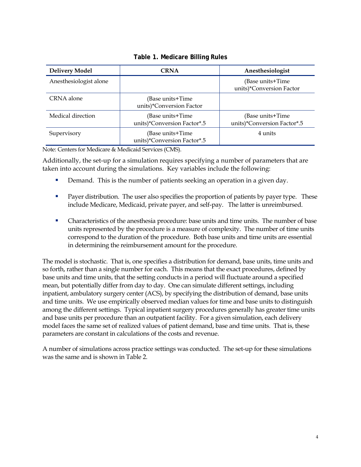| <b>Delivery Model</b>  | <b>CRNA</b>                                     | Anesthesiologist                                |
|------------------------|-------------------------------------------------|-------------------------------------------------|
| Anesthesiologist alone |                                                 | (Base units+Time<br>units)*Conversion Factor    |
| CRNA alone             | (Base units+Time<br>units)*Conversion Factor    |                                                 |
| Medical direction      | (Base units+Time<br>units)*Conversion Factor*.5 | (Base units+Time<br>units)*Conversion Factor*.5 |
| Supervisory            | (Base units+Time<br>units)*Conversion Factor*.5 | 4 units                                         |

**Table 1. Medicare Billing Rules** 

Note: Centers for Medicare & Medicaid Services (CMS).

Additionally, the set-up for a simulation requires specifying a number of parameters that are taken into account during the simulations. Key variables include the following:

- Demand. This is the number of patients seeking an operation in a given day.
- **Payer distribution.** The user also specifies the proportion of patients by payer type. These include Medicare, Medicaid, private payer, and self-pay. The latter is unreimbursed.
- Characteristics of the anesthesia procedure: base units and time units. The number of base units represented by the procedure is a measure of complexity. The number of time units correspond to the duration of the procedure. Both base units and time units are essential in determining the reimbursement amount for the procedure.

The model is stochastic. That is, one specifies a distribution for demand, base units, time units and so forth, rather than a single number for each. This means that the exact procedures, defined by base units and time units, that the setting conducts in a period will fluctuate around a specified mean, but potentially differ from day to day. One can simulate different settings, including inpatient, ambulatory surgery center (ACS), by specifying the distribution of demand, base units and time units. We use empirically observed median values for time and base units to distinguish among the different settings. Typical inpatient surgery procedures generally has greater time units and base units per procedure than an outpatient facility. For a given simulation, each delivery model faces the same set of realized values of patient demand, base and time units. That is, these parameters are constant in calculations of the costs and revenue.

A number of simulations across practice settings was conducted. The set-up for these simulations was the same and is shown in Table 2.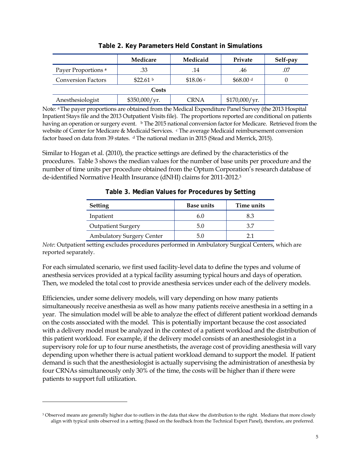|                                | Medicare              | Medicaid          | Private       | Self-pay |
|--------------------------------|-----------------------|-------------------|---------------|----------|
| Payer Proportions <sup>a</sup> | .33                   | .14               | .46           | .07      |
| <b>Conversion Factors</b>      | \$22.61 $\frac{b}{2}$ | \$18.06 $\degree$ | \$68.00 $d$   |          |
|                                |                       |                   |               |          |
| Anesthesiologist               | \$350,000/yr.         | <b>CRNA</b>       | \$170,000/yr. |          |

| Table 2. Key Parameters Held Constant in Simulations |
|------------------------------------------------------|
|------------------------------------------------------|

Note: a The payer proportions are obtained from the Medical Expenditure Panel Survey (the 2013 Hospital Inpatient Stays file and the 2013 Outpatient Visits file). The proportions reported are conditional on patients having an operation or surgery event. b The 2015 national conversion factor for Medicare. Retrieved from the website of Center for Medicare & Medicaid Services. c The average Medicaid reimbursement conversion factor based on data from 39 states. d The national median in 2015 (Stead and Merrick, 2015).

Similar to Hogan et al. (2010), the practice settings are defined by the characteristics of the procedures. Table 3 shows the median values for the number of base units per procedure and the number of time units per procedure obtained from the Optum Corporation's research database of de-identified Normative Health Insurance (dNHI) claims for 2011-2012.3

| <b>Setting</b>                   | <b>Base units</b> | Time units |
|----------------------------------|-------------------|------------|
| Inpatient                        | 6.0               | 8.3        |
| <b>Outpatient Surgery</b>        | 5.0               | 37         |
| <b>Ambulatory Surgery Center</b> | 5.0               |            |

**Table 3. Median Values for Procedures by Setting** 

*Note*: Outpatient setting excludes procedures performed in Ambulatory Surgical Centers, which are reported separately.

For each simulated scenario, we first used facility-level data to define the types and volume of anesthesia services provided at a typical facility assuming typical hours and days of operation. Then, we modeled the total cost to provide anesthesia services under each of the delivery models.

Efficiencies, under some delivery models, will vary depending on how many patients simultaneously receive anesthesia as well as how many patients receive anesthesia in a setting in a year. The simulation model will be able to analyze the effect of different patient workload demands on the costs associated with the model. This is potentially important because the cost associated with a delivery model must be analyzed in the context of a patient workload and the distribution of this patient workload. For example, if the delivery model consists of an anesthesiologist in a supervisory role for up to four nurse anesthetists, the average cost of providing anesthesia will vary depending upon whether there is actual patient workload demand to support the model. If patient demand is such that the anesthesiologist is actually supervising the administration of anesthesia by four CRNAs simultaneously only 30% of the time, the costs will be higher than if there were patients to support full utilization.

 $\overline{a}$ 

<sup>&</sup>lt;sup>3</sup> Observed means are generally higher due to outliers in the data that skew the distribution to the right. Medians that more closely align with typical units observed in a setting (based on the feedback from the Technical Expert Panel), therefore, are preferred.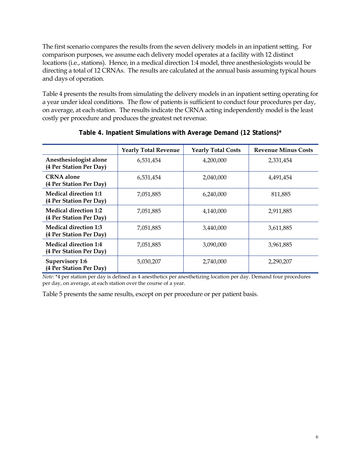The first scenario compares the results from the seven delivery models in an inpatient setting. For comparison purposes, we assume each delivery model operates at a facility with 12 distinct locations (i.e., stations). Hence, in a medical direction 1:4 model, three anesthesiologists would be directing a total of 12 CRNAs. The results are calculated at the annual basis assuming typical hours and days of operation.

Table 4 presents the results from simulating the delivery models in an inpatient setting operating for a year under ideal conditions. The flow of patients is sufficient to conduct four procedures per day, on average, at each station. The results indicate the CRNA acting independently model is the least costly per procedure and produces the greatest net revenue.

|                                                         | <b>Yearly Total Revenue</b> | <b>Yearly Total Costs</b> | <b>Revenue Minus Costs</b> |
|---------------------------------------------------------|-----------------------------|---------------------------|----------------------------|
| Anesthesiologist alone<br>(4 Per Station Per Day)       | 6,531,454                   | 4,200,000                 | 2,331,454                  |
| <b>CRNA</b> alone<br>(4 Per Station Per Day)            | 6,531,454                   | 2,040,000                 | 4,491,454                  |
| <b>Medical direction 1:1</b><br>(4 Per Station Per Day) | 7,051,885                   | 6,240,000                 | 811,885                    |
| <b>Medical direction 1:2</b><br>(4 Per Station Per Day) | 7,051,885                   | 4,140,000                 | 2,911,885                  |
| <b>Medical direction 1:3</b><br>(4 Per Station Per Day) | 7,051,885                   | 3,440,000                 | 3,611,885                  |
| <b>Medical direction 1:4</b><br>(4 Per Station Per Day) | 7,051,885                   | 3,090,000                 | 3,961,885                  |
| <b>Supervisory 1:6</b><br>(4 Per Station Per Day)       | 5,030,207                   | 2,740,000                 | 2,290,207                  |

**Table 4. Inpatient Simulations with Average Demand (12 Stations)\***

*Note*: \*4 per station per day is defined as 4 anesthetics per anesthetizing location per day. Demand four procedures per day, on average, at each station over the course of a year.

Table 5 presents the same results, except on per procedure or per patient basis.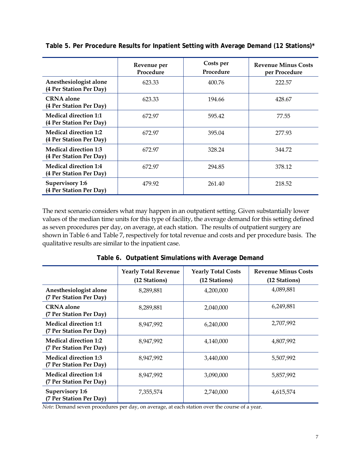|                                                         | Revenue per<br>Procedure | Costs per<br>Procedure | <b>Revenue Minus Costs</b><br>per Procedure |
|---------------------------------------------------------|--------------------------|------------------------|---------------------------------------------|
| Anesthesiologist alone<br>(4 Per Station Per Day)       | 623.33                   | 400.76                 | 222.57                                      |
| <b>CRNA</b> alone<br>(4 Per Station Per Day)            | 623.33                   | 194.66                 | 428.67                                      |
| <b>Medical direction 1:1</b><br>(4 Per Station Per Day) | 672.97                   | 595.42                 | 77.55                                       |
| <b>Medical direction 1:2</b><br>(4 Per Station Per Day) | 672.97                   | 395.04                 | 277.93                                      |
| <b>Medical direction 1:3</b><br>(4 Per Station Per Day) | 672.97                   | 328.24                 | 344.72                                      |
| <b>Medical direction 1:4</b><br>(4 Per Station Per Day) | 672.97                   | 294.85                 | 378.12                                      |
| <b>Supervisory 1:6</b><br>(4 Per Station Per Day)       | 479.92                   | 261.40                 | 218.52                                      |

**Table 5. Per Procedure Results for Inpatient Setting with Average Demand (12 Stations)\***

The next scenario considers what may happen in an outpatient setting. Given substantially lower values of the median time units for this type of facility, the average demand for this setting defined as seven procedures per day, on average, at each station. The results of outpatient surgery are shown in Table 6 and Table 7, respectively for total revenue and costs and per procedure basis. The qualitative results are similar to the inpatient case.

|                                                         | <b>Yearly Total Revenue</b><br>(12 Stations) | <b>Yearly Total Costs</b><br>(12 Stations) | <b>Revenue Minus Costs</b><br>(12 Stations) |
|---------------------------------------------------------|----------------------------------------------|--------------------------------------------|---------------------------------------------|
| Anesthesiologist alone<br>(7 Per Station Per Day)       | 8,289,881                                    | 4,200,000                                  | 4,089,881                                   |
| <b>CRNA</b> alone<br>(7 Per Station Per Day)            | 8,289,881                                    | 2,040,000                                  | 6,249,881                                   |
| <b>Medical direction 1:1</b><br>(7 Per Station Per Day) | 8,947,992                                    | 6,240,000                                  | 2,707,992                                   |
| Medical direction 1:2<br>(7 Per Station Per Day)        | 8,947,992                                    | 4,140,000                                  | 4,807,992                                   |
| <b>Medical direction 1:3</b><br>(7 Per Station Per Day) | 8,947,992                                    | 3,440,000                                  | 5,507,992                                   |
| <b>Medical direction 1:4</b><br>(7 Per Station Per Day) | 8,947,992                                    | 3,090,000                                  | 5,857,992                                   |
| <b>Supervisory 1:6</b><br>(7 Per Station Per Day)       | 7,355,574                                    | 2,740,000                                  | 4,615,574                                   |

**Table 6. Outpatient Simulations with Average Demand** 

*Note*: Demand seven procedures per day, on average, at each station over the course of a year.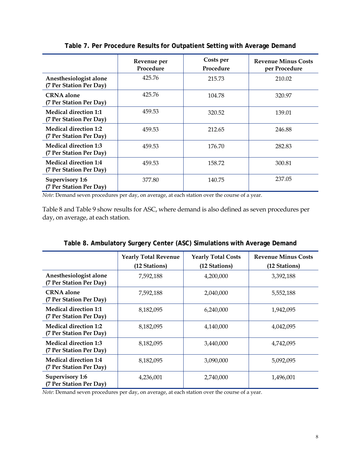|                                                         | Revenue per<br>Procedure | Costs per<br>Procedure | <b>Revenue Minus Costs</b><br>per Procedure |
|---------------------------------------------------------|--------------------------|------------------------|---------------------------------------------|
| Anesthesiologist alone<br>(7 Per Station Per Day)       | 425.76                   | 215.73                 | 210.02                                      |
| <b>CRNA</b> alone<br>(7 Per Station Per Day)            | 425.76                   | 104.78                 | 320.97                                      |
| <b>Medical direction 1:1</b><br>(7 Per Station Per Day) | 459.53                   | 320.52                 | 139.01                                      |
| <b>Medical direction 1:2</b><br>(7 Per Station Per Day) | 459.53                   | 212.65                 | 246.88                                      |
| <b>Medical direction 1:3</b><br>(7 Per Station Per Day) | 459.53                   | 176.70                 | 282.83                                      |
| <b>Medical direction 1:4</b><br>(7 Per Station Per Day) | 459.53                   | 158.72                 | 300.81                                      |
| <b>Supervisory 1:6</b><br>(7 Per Station Per Day)       | 377.80                   | 140.75                 | 237.05                                      |

**Table 7. Per Procedure Results for Outpatient Setting with Average Demand** 

*Note*: Demand seven procedures per day, on average, at each station over the course of a year.

Table 8 and Table 9 show results for ASC, where demand is also defined as seven procedures per day, on average, at each station.

|                                                         | <b>Yearly Total Revenue</b><br>(12 Stations) | <b>Yearly Total Costs</b><br>(12 Stations) | <b>Revenue Minus Costs</b><br>(12 Stations) |
|---------------------------------------------------------|----------------------------------------------|--------------------------------------------|---------------------------------------------|
| Anesthesiologist alone<br>(7 Per Station Per Day)       | 7,592,188                                    | 4,200,000                                  | 3,392,188                                   |
| <b>CRNA</b> alone<br>(7 Per Station Per Day)            | 7,592,188                                    | 2,040,000                                  | 5,552,188                                   |
| <b>Medical direction 1:1</b><br>(7 Per Station Per Day) | 8,182,095                                    | 6,240,000                                  | 1,942,095                                   |
| <b>Medical direction 1:2</b><br>(7 Per Station Per Day) | 8,182,095                                    | 4,140,000                                  | 4,042,095                                   |
| <b>Medical direction 1:3</b><br>(7 Per Station Per Day) | 8,182,095                                    | 3,440,000                                  | 4,742,095                                   |
| <b>Medical direction 1:4</b><br>(7 Per Station Per Day) | 8,182,095                                    | 3,090,000                                  | 5,092,095                                   |
| <b>Supervisory 1:6</b><br>(7 Per Station Per Day)       | 4,236,001                                    | 2,740,000                                  | 1,496,001                                   |

**Table 8. Ambulatory Surgery Center (ASC) Simulations with Average Demand** 

*Note*: Demand seven procedures per day, on average, at each station over the course of a year.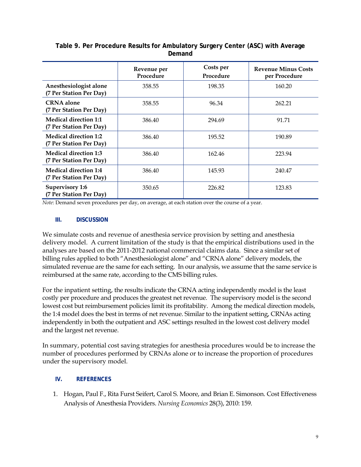|                                                         | Revenue per<br>Procedure | Costs per<br>Procedure | <b>Revenue Minus Costs</b><br>per Procedure |
|---------------------------------------------------------|--------------------------|------------------------|---------------------------------------------|
| Anesthesiologist alone<br>(7 Per Station Per Day)       | 358.55                   | 198.35                 | 160.20                                      |
| <b>CRNA</b> alone<br>(7 Per Station Per Day)            | 358.55                   | 96.34                  | 262.21                                      |
| <b>Medical direction 1:1</b><br>(7 Per Station Per Day) | 386.40                   | 294.69                 | 91.71                                       |
| Medical direction 1:2<br>(7 Per Station Per Day)        | 386.40                   | 195.52                 | 190.89                                      |
| <b>Medical direction 1:3</b><br>(7 Per Station Per Day) | 386.40                   | 162.46                 | 223.94                                      |
| <b>Medical direction 1:4</b><br>(7 Per Station Per Day) | 386.40                   | 145.93                 | 240.47                                      |
| Supervisory 1:6<br>(7 Per Station Per Day)              | 350.65                   | 226.82                 | 123.83                                      |

#### **Table 9. Per Procedure Results for Ambulatory Surgery Center (ASC) with Average Demand**

*Note*: Demand seven procedures per day, on average, at each station over the course of a year.

#### **III. DISCUSSION**

We simulate costs and revenue of anesthesia service provision by setting and anesthesia delivery model. A current limitation of the study is that the empirical distributions used in the analyses are based on the 2011-2012 national commercial claims data. Since a similar set of billing rules applied to both "Anesthesiologist alone" and "CRNA alone" delivery models, the simulated revenue are the same for each setting. In our analysis, we assume that the same service is reimbursed at the same rate, according to the CMS billing rules.

For the inpatient setting, the results indicate the CRNA acting independently model is the least costly per procedure and produces the greatest net revenue. The supervisory model is the second lowest cost but reimbursement policies limit its profitability. Among the medical direction models, the 1:4 model does the best in terms of net revenue. Similar to the inpatient setting, CRNAs acting independently in both the outpatient and ASC settings resulted in the lowest cost delivery model and the largest net revenue.

In summary, potential cost saving strategies for anesthesia procedures would be to increase the number of procedures performed by CRNAs alone or to increase the proportion of procedures under the supervisory model.

#### **IV. REFERENCES**

1. Hogan, Paul F., Rita Furst Seifert, Carol S. Moore, and Brian E. Simonson. Cost Effectiveness Analysis of Anesthesia Providers. *Nursing Economics* 28(3), 2010: 159.